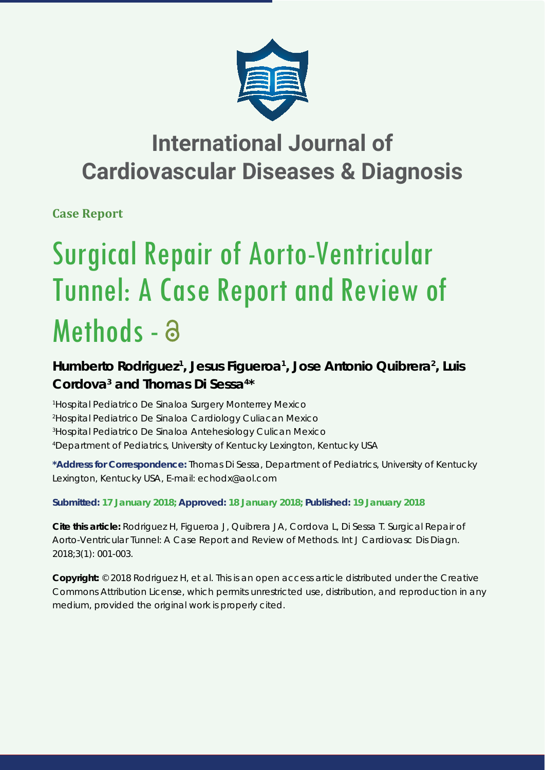

## **International Journal of Cardiovascular Diseases & Diagnosis**

**Case Report**

# Surgical Repair of Aorto-Ventricular Tunnel: A Case Report and Review of Methods - a

### Humberto Rodriguez<sup>1</sup>, Jesus Figueroa<sup>1</sup>, Jose Antonio Quibrera<sup>2</sup>, Luis **Cordova3 and Thomas Di Sessa4 \***

 *Hospital Pediatrico De Sinaloa Surgery Monterrey Mexico Hospital Pediatrico De Sinaloa Cardiology Culiacan Mexico Hospital Pediatrico De Sinaloa Antehesiology Culican Mexico Department of Pediatrics, University of Kentucky Lexington, Kentucky USA*

**\*Address for Correspondence:** Thomas Di Sessa, Department of Pediatrics, University of Kentucky Lexington, Kentucky USA, E-mail: echodx@aol.com

**Submitted: 17 January 2018; Approved: 18 January 2018; Published: 19 January 2018**

**Cite this article:** Rodriguez H, Figueroa J, Quibrera JA, Cordova L, Di Sessa T. Surgical Repair of Aorto-Ventricular Tunnel: A Case Report and Review of Methods. Int J Cardiovasc Dis Diagn. 2018;3(1): 001-003.

**Copyright:** © 2018 Rodriguez H, et al. This is an open access article distributed under the Creative Commons Attribution License, which permits unrestricted use, distribution, and reproduction in any medium, provided the original work is properly cited.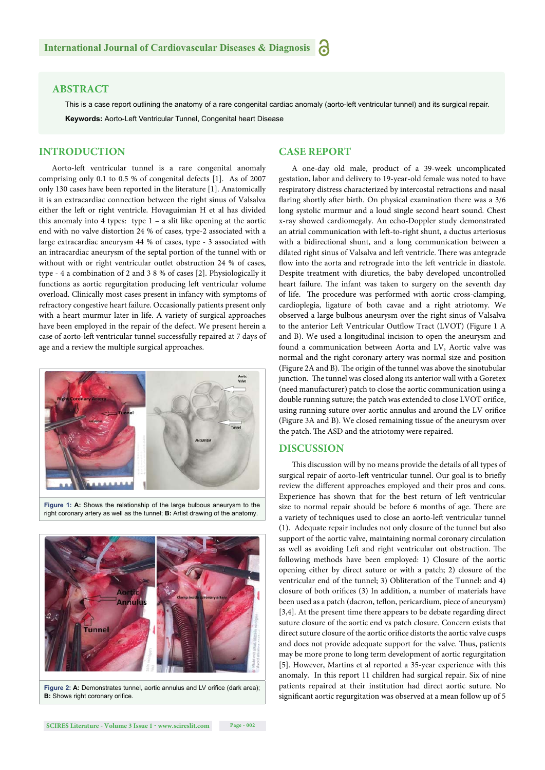#### **ABSTRACT**

This is a case report outlining the anatomy of a rare congenital cardiac anomaly (aorto-left ventricular tunnel) and its surgical repair. **Keywords:** Aorto-Left Ventricular Tunnel, Congenital heart Disease

#### **INTRODUCTION**

#### **CASE REPORT**

Aorto-left ventricular tunnel is a rare congenital anomaly comprising only 0.1 to 0.5 % of congenital defects [1]. As of 2007 only 130 cases have been reported in the literature [1]. Anatomically it is an extracardiac connection between the right sinus of Valsalva either the left or right ventricle. Hovaguimian H et al has divided this anomaly into 4 types: type 1 – a slit like opening at the aortic end with no valve distortion 24 % of cases, type-2 associated with a large extracardiac aneurysm 44 % of cases, type - 3 associated with an intracardiac aneurysm of the septal portion of the tunnel with or without with or right ventricular outlet obstruction 24 % of cases, type - 4 a combination of 2 and 3 8 % of cases [2]. Physiologically it functions as aortic regurgitation producing left ventricular volume overload. Clinically most cases present in infancy with symptoms of refractory congestive heart failure. Occasionally patients present only with a heart murmur later in life. A variety of surgical approaches have been employed in the repair of the defect. We present herein a case of aorto-left ventricular tunnel successfully repaired at 7 days of age and a review the multiple surgical approaches.



**Figure 1: A:** Shows the relationship of the large bulbous aneurysm to the right coronary artery as well as the tunnel; **B:** Artist drawing of the anatomy.



Figure 2: A: Demonstrates tunnel, aortic annulus and LV orifice (dark area); **B:** Shows right coronary orifice.

A one-day old male, product of a 39-week uncomplicated gestation, labor and delivery to 19-year-old female was noted to have respiratory distress characterized by intercostal retractions and nasal flaring shortly after birth. On physical examination there was a  $3/6$ long systolic murmur and a loud single second heart sound. Chest x-ray showed cardiomegaly. An echo-Doppler study demonstrated an atrial communication with left -to-right shunt, a ductus arteriosus with a bidirectional shunt, and a long communication between a dilated right sinus of Valsalva and left ventricle. There was antegrade flow into the aorta and retrograde into the left ventricle in diastole. Despite treatment with diuretics, the baby developed uncontrolled heart failure. The infant was taken to surgery on the seventh day of life. The procedure was performed with aortic cross-clamping, cardioplegia, ligature of both cavae and a right atriotomy. We observed a large bulbous aneurysm over the right sinus of Valsalva to the anterior Left Ventricular Outflow Tract (LVOT) (Figure 1 A and B). We used a longitudinal incision to open the aneurysm and found a communication between Aorta and LV, Aortic valve was normal and the right coronary artery was normal size and position (Figure 2A and B). The origin of the tunnel was above the sinotubular junction. The tunnel was closed along its anterior wall with a Goretex (need manufacturer) patch to close the aortic communication using a double running suture; the patch was extended to close LVOT orifice, using running suture over aortic annulus and around the LV orifice (Figure 3A and B). We closed remaining tissue of the aneurysm over the patch. The ASD and the atriotomy were repaired.

#### **DISCUSSION**

This discussion will by no means provide the details of all types of surgical repair of aorto-left ventricular tunnel. Our goal is to briefly review the different approaches employed and their pros and cons. Experience has shown that for the best return of left ventricular size to normal repair should be before 6 months of age. There are a variety of techniques used to close an aorto-left ventricular tunnel (1). Adequate repair includes not only closure of the tunnel but also support of the aortic valve, maintaining normal coronary circulation as well as avoiding Left and right ventricular out obstruction. The following methods have been employed: 1) Closure of the aortic opening either by direct suture or with a patch; 2) closure of the ventricular end of the tunnel; 3) Obliteration of the Tunnel: and 4) closure of both orifices (3) In addition, a number of materials have been used as a patch (dacron, teflon, pericardium, piece of aneurysm) [3,4]. At the present time there appears to be debate regarding direct suture closure of the aortic end vs patch closure. Concern exists that direct suture closure of the aortic orifice distorts the aortic valve cusps and does not provide adequate support for the valve. Thus, patients may be more prone to long term development of aortic regurgitation [5]. However, Martins et al reported a 35-year experience with this anomaly. In this report 11 children had surgical repair. Six of nine patients repaired at their institution had direct aortic suture. No significant aortic regurgitation was observed at a mean follow up of 5